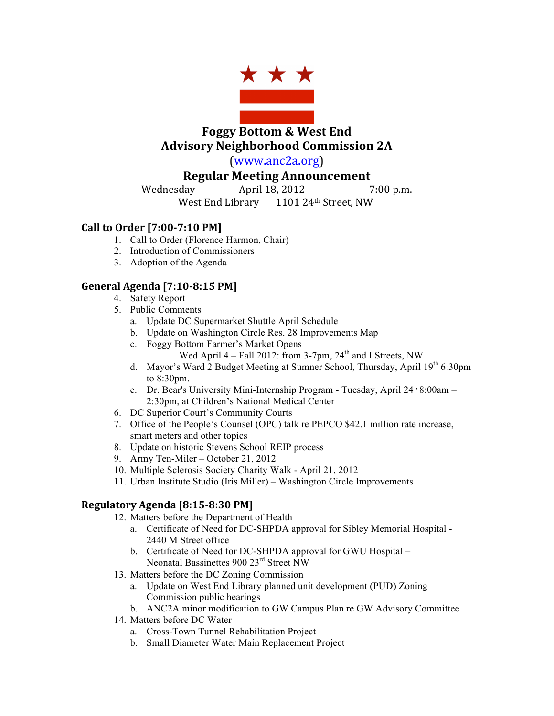

**Foggy Bottom & West End Advisory Neighborhood Commission 2A**

(www.anc2a.org)

# **Regular Meeting Announcement**

Wednesday **April 18, 2012** 7:00 p.m.

West End Library 1101 24th Street, NW

## **Call to Order [7:00-7:10 PM]**

- 1. Call to Order (Florence Harmon, Chair)
- 2. Introduction of Commissioners
- 3. Adoption of the Agenda

## **General Agenda [7:10-8:15 PM]**

- 4. Safety Report
- 5. Public Comments
	- a. Update DC Supermarket Shuttle April Schedule
	- b. Update on Washington Circle Res. 28 Improvements Map
	- c. Foggy Bottom Farmer's Market Opens
		- Wed April  $4 -$  Fall 2012: from 3-7pm,  $24<sup>th</sup>$  and I Streets, NW
	- d. Mayor's Ward 2 Budget Meeting at Sumner School, Thursday, April 19<sup>th</sup> 6:30pm to 8:30pm.
	- e. Dr. Bear's University Mini-Internship Program Tuesday, April 24  $\cdot$  8:00am 2:30pm, at Children's National Medical Center
- 6. DC Superior Court's Community Courts
- 7. Office of the People's Counsel (OPC) talk re PEPCO \$42.1 million rate increase, smart meters and other topics
- 8. Update on historic Stevens School REIP process
- 9. Army Ten-Miler October 21, 2012
- 10. Multiple Sclerosis Society Charity Walk April 21, 2012
- 11. Urban Institute Studio (Iris Miller) Washington Circle Improvements

## **Regulatory Agenda [8:15-8:30 PM]**

- 12. Matters before the Department of Health
	- a. Certificate of Need for DC-SHPDA approval for Sibley Memorial Hospital 2440 M Street office
	- b. Certificate of Need for DC-SHPDA approval for GWU Hospital Neonatal Bassinettes 900 23rd Street NW
- 13. Matters before the DC Zoning Commission
	- a. Update on West End Library planned unit development (PUD) Zoning Commission public hearings
	- b. ANC2A minor modification to GW Campus Plan re GW Advisory Committee
- 14. Matters before DC Water
	- a. Cross-Town Tunnel Rehabilitation Project
	- b. Small Diameter Water Main Replacement Project